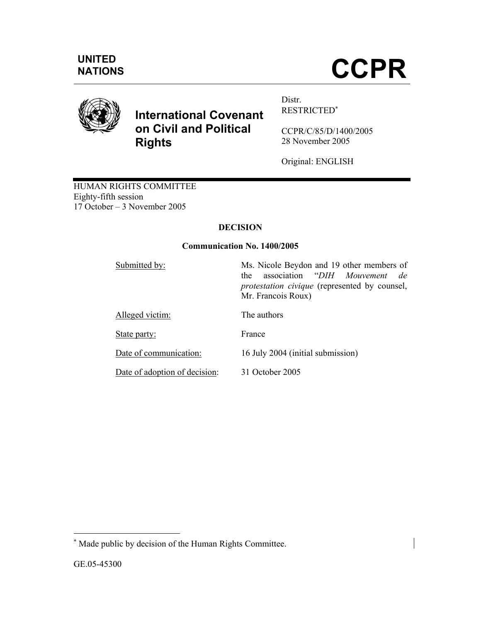

# **International Covenant on Civil and Political Rights**

Distr. RESTRICTED<sup>∗</sup>

CCPR/C/85/D/1400/2005 28 November 2005

Original: ENGLISH

HUMAN RIGHTS COMMITTEE Eighty-fifth session 17 October – 3 November 2005

## **DECISION**

## **Communication No. 1400/2005**

| Submitted by:                 | Ms. Nicole Beydon and 19 other members of<br>association "DIH Mouvement de<br>the<br><i>protestation civique</i> (represented by counsel,<br>Mr. Francois Roux) |
|-------------------------------|-----------------------------------------------------------------------------------------------------------------------------------------------------------------|
| Alleged victim:               | The authors                                                                                                                                                     |
| State party:                  | France                                                                                                                                                          |
| Date of communication:        | 16 July 2004 (initial submission)                                                                                                                               |
| Date of adoption of decision: | 31 October 2005                                                                                                                                                 |

-

<sup>∗</sup> Made public by decision of the Human Rights Committee.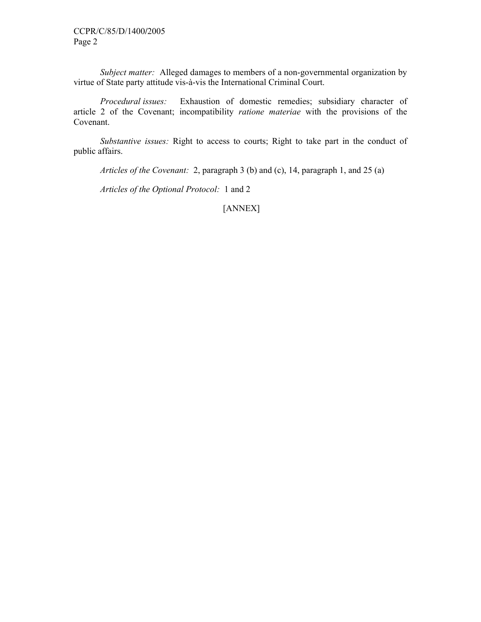*Subject matter:* Alleged damages to members of a non-governmental organization by virtue of State party attitude vis-à-vis the International Criminal Court.

 *Procedural issues:* Exhaustion of domestic remedies; subsidiary character of article 2 of the Covenant; incompatibility *ratione materiae* with the provisions of the Covenant.

 *Substantive issues:* Right to access to courts; Right to take part in the conduct of public affairs.

 *Articles of the Covenant:* 2, paragraph 3 (b) and (c), 14, paragraph 1, and 25 (a)

 *Articles of the Optional Protocol:* 1 and 2

[ANNEX]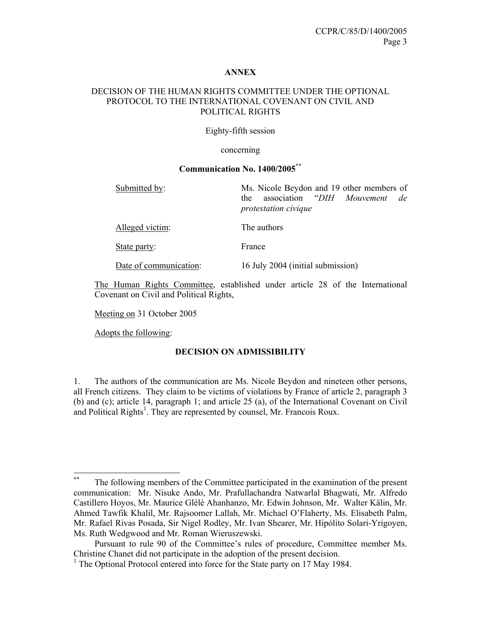#### **ANNEX**

## DECISION OF THE HUMAN RIGHTS COMMITTEE UNDER THE OPTIONAL PROTOCOL TO THE INTERNATIONAL COVENANT ON CIVIL AND POLITICAL RIGHTS

#### Eighty-fifth session

#### concerning

## **Communication No. 1400/2005\*\***

| Submitted by:          | Ms. Nicole Beydon and 19 other members of<br>association "DIH Mouvement<br>de<br>the<br>protestation civique |
|------------------------|--------------------------------------------------------------------------------------------------------------|
| Alleged victim:        | The authors                                                                                                  |
| State party:           | France                                                                                                       |
| Date of communication: | 16 July 2004 (initial submission)                                                                            |

The Human Rights Committee, established under article 28 of the International Covenant on Civil and Political Rights,

Meeting on 31 October 2005

Adopts the following:

#### **DECISION ON ADMISSIBILITY**

1. The authors of the communication are Ms. Nicole Beydon and nineteen other persons, all French citizens. They claim to be victims of violations by France of article 2, paragraph 3 (b) and (c); article 14, paragraph 1; and article 25 (a), of the International Covenant on Civil and Political Rights<sup>1</sup>. They are represented by counsel, Mr. Francois Roux.

 $**$ The following members of the Committee participated in the examination of the present communication: Mr. Nisuke Ando, Mr. Prafullachandra Natwarlal Bhagwati, Mr. Alfredo Castillero Hoyos, Mr. Maurice Glèlè Ahanhanzo, Mr. Edwin Johnson, Mr. Walter Kälin, Mr. Ahmed Tawfik Khalil, Mr. Rajsoomer Lallah, Mr. Michael O'Flaherty, Ms. Elisabeth Palm, Mr. Rafael Rivas Posada, Sir Nigel Rodley, Mr. Ivan Shearer, Mr. Hipólito Solari-Yrigoyen, Ms. Ruth Wedgwood and Mr. Roman Wieruszewski.

Pursuant to rule 90 of the Committee's rules of procedure, Committee member Ms. Christine Chanet did not participate in the adoption of the present decision.

<sup>&</sup>lt;sup>1</sup> The Optional Protocol entered into force for the State party on 17 May 1984.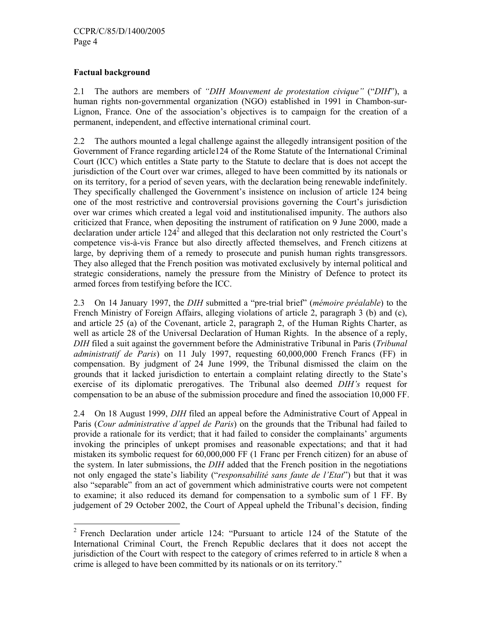## **Factual background**

-

2.1 The authors are members of *"DIH Mouvement de protestation civique"* ("*DIH*"), a human rights non-governmental organization (NGO) established in 1991 in Chambon-sur-Lignon, France. One of the association's objectives is to campaign for the creation of a permanent, independent, and effective international criminal court.

2.2 The authors mounted a legal challenge against the allegedly intransigent position of the Government of France regarding article124 of the Rome Statute of the International Criminal Court (ICC) which entitles a State party to the Statute to declare that is does not accept the jurisdiction of the Court over war crimes, alleged to have been committed by its nationals or on its territory, for a period of seven years, with the declaration being renewable indefinitely. They specifically challenged the Government's insistence on inclusion of article 124 being one of the most restrictive and controversial provisions governing the Court's jurisdiction over war crimes which created a legal void and institutionalised impunity. The authors also criticized that France, when depositing the instrument of ratification on 9 June 2000, made a declaration under article  $124<sup>2</sup>$  and alleged that this declaration not only restricted the Court's competence vis-à-vis France but also directly affected themselves, and French citizens at large, by depriving them of a remedy to prosecute and punish human rights transgressors. They also alleged that the French position was motivated exclusively by internal political and strategic considerations, namely the pressure from the Ministry of Defence to protect its armed forces from testifying before the ICC.

2.3 On 14 January 1997, the *DIH* submitted a "pre-trial brief" (*mémoire préalable*) to the French Ministry of Foreign Affairs, alleging violations of article 2, paragraph 3 (b) and (c), and article 25 (a) of the Covenant, article 2, paragraph 2, of the Human Rights Charter, as well as article 28 of the Universal Declaration of Human Rights. In the absence of a reply, *DIH* filed a suit against the government before the Administrative Tribunal in Paris (*Tribunal administratif de Paris*) on 11 July 1997, requesting 60,000,000 French Francs (FF) in compensation. By judgment of 24 June 1999, the Tribunal dismissed the claim on the grounds that it lacked jurisdiction to entertain a complaint relating directly to the State's exercise of its diplomatic prerogatives. The Tribunal also deemed *DIH's* request for compensation to be an abuse of the submission procedure and fined the association 10,000 FF.

2.4 On 18 August 1999, *DIH* filed an appeal before the Administrative Court of Appeal in Paris (*Cour administrative d'appel de Paris*) on the grounds that the Tribunal had failed to provide a rationale for its verdict; that it had failed to consider the complainants' arguments invoking the principles of unkept promises and reasonable expectations; and that it had mistaken its symbolic request for 60,000,000 FF (1 Franc per French citizen) for an abuse of the system. In later submissions, the *DIH* added that the French position in the negotiations not only engaged the state's liability ("*responsabilité sans faute de l'Etat*") but that it was also "separable" from an act of government which administrative courts were not competent to examine; it also reduced its demand for compensation to a symbolic sum of 1 FF. By judgement of 29 October 2002, the Court of Appeal upheld the Tribunal's decision, finding

<sup>2</sup> French Declaration under article 124: "Pursuant to article 124 of the Statute of the International Criminal Court, the French Republic declares that it does not accept the jurisdiction of the Court with respect to the category of crimes referred to in article 8 when a crime is alleged to have been committed by its nationals or on its territory."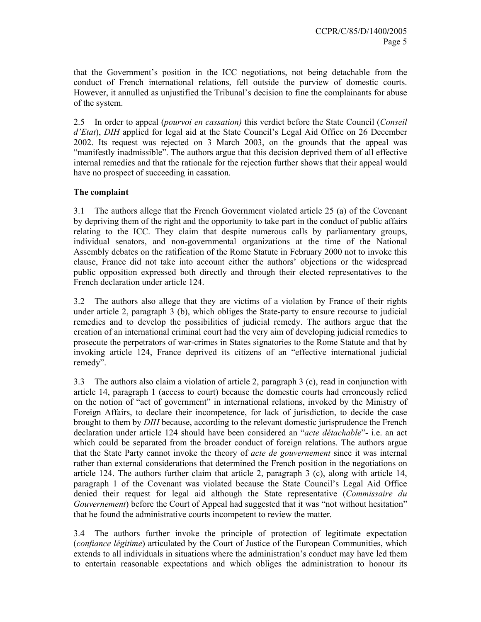that the Government's position in the ICC negotiations, not being detachable from the conduct of French international relations, fell outside the purview of domestic courts. However, it annulled as unjustified the Tribunal's decision to fine the complainants for abuse of the system.

2.5 In order to appeal (*pourvoi en cassation)* this verdict before the State Council (*Conseil d'Etat*), *DIH* applied for legal aid at the State Council's Legal Aid Office on 26 December 2002. Its request was rejected on 3 March 2003, on the grounds that the appeal was "manifestly inadmissible". The authors argue that this decision deprived them of all effective internal remedies and that the rationale for the rejection further shows that their appeal would have no prospect of succeeding in cassation.

## **The complaint**

3.1 The authors allege that the French Government violated article 25 (a) of the Covenant by depriving them of the right and the opportunity to take part in the conduct of public affairs relating to the ICC. They claim that despite numerous calls by parliamentary groups, individual senators, and non-governmental organizations at the time of the National Assembly debates on the ratification of the Rome Statute in February 2000 not to invoke this clause, France did not take into account either the authors' objections or the widespread public opposition expressed both directly and through their elected representatives to the French declaration under article 124.

3.2 The authors also allege that they are victims of a violation by France of their rights under article 2, paragraph 3 (b), which obliges the State-party to ensure recourse to judicial remedies and to develop the possibilities of judicial remedy. The authors argue that the creation of an international criminal court had the very aim of developing judicial remedies to prosecute the perpetrators of war-crimes in States signatories to the Rome Statute and that by invoking article 124, France deprived its citizens of an "effective international judicial remedy".

3.3 The authors also claim a violation of article 2, paragraph 3 (c), read in conjunction with article 14, paragraph 1 (access to court) because the domestic courts had erroneously relied on the notion of "act of government" in international relations, invoked by the Ministry of Foreign Affairs, to declare their incompetence, for lack of jurisdiction, to decide the case brought to them by *DIH* because, according to the relevant domestic jurisprudence the French declaration under article 124 should have been considered an "*acte détachable*"- i.e. an act which could be separated from the broader conduct of foreign relations. The authors argue that the State Party cannot invoke the theory of *acte de gouvernement* since it was internal rather than external considerations that determined the French position in the negotiations on article 124. The authors further claim that article 2, paragraph 3 (c), along with article 14, paragraph 1 of the Covenant was violated because the State Council's Legal Aid Office denied their request for legal aid although the State representative (*Commissaire du Gouvernement*) before the Court of Appeal had suggested that it was "not without hesitation" that he found the administrative courts incompetent to review the matter.

3.4 The authors further invoke the principle of protection of legitimate expectation (*confiance légitime*) articulated by the Court of Justice of the European Communities, which extends to all individuals in situations where the administration's conduct may have led them to entertain reasonable expectations and which obliges the administration to honour its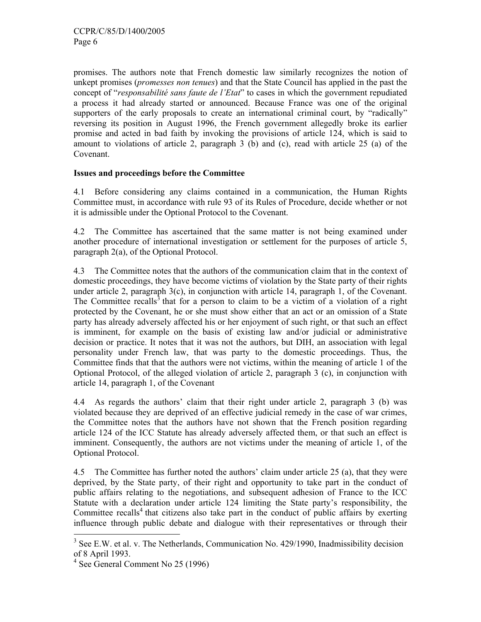promises. The authors note that French domestic law similarly recognizes the notion of unkept promises (*promesses non tenues*) and that the State Council has applied in the past the concept of "*responsabilité sans faute de l'Etat*" to cases in which the government repudiated a process it had already started or announced. Because France was one of the original supporters of the early proposals to create an international criminal court, by "radically" reversing its position in August 1996, the French government allegedly broke its earlier promise and acted in bad faith by invoking the provisions of article 124, which is said to amount to violations of article 2, paragraph 3 (b) and (c), read with article 25 (a) of the Covenant.

### **Issues and proceedings before the Committee**

4.1 Before considering any claims contained in a communication, the Human Rights Committee must, in accordance with rule 93 of its Rules of Procedure, decide whether or not it is admissible under the Optional Protocol to the Covenant.

4.2 The Committee has ascertained that the same matter is not being examined under another procedure of international investigation or settlement for the purposes of article 5, paragraph 2(a), of the Optional Protocol.

4.3 The Committee notes that the authors of the communication claim that in the context of domestic proceedings, they have become victims of violation by the State party of their rights under article 2, paragraph  $3(c)$ , in conjunction with article 14, paragraph 1, of the Covenant. The Committee recalls<sup>3</sup> that for a person to claim to be a victim of a violation of a right protected by the Covenant, he or she must show either that an act or an omission of a State party has already adversely affected his or her enjoyment of such right, or that such an effect is imminent, for example on the basis of existing law and/or judicial or administrative decision or practice. It notes that it was not the authors, but DIH, an association with legal personality under French law, that was party to the domestic proceedings. Thus, the Committee finds that that the authors were not victims, within the meaning of article 1 of the Optional Protocol, of the alleged violation of article 2, paragraph 3 (c), in conjunction with article 14, paragraph 1, of the Covenant

4.4 As regards the authors' claim that their right under article 2, paragraph 3 (b) was violated because they are deprived of an effective judicial remedy in the case of war crimes, the Committee notes that the authors have not shown that the French position regarding article 124 of the ICC Statute has already adversely affected them, or that such an effect is imminent. Consequently, the authors are not victims under the meaning of article 1, of the Optional Protocol.

4.5 The Committee has further noted the authors' claim under article 25 (a), that they were deprived, by the State party, of their right and opportunity to take part in the conduct of public affairs relating to the negotiations, and subsequent adhesion of France to the ICC Statute with a declaration under article 124 limiting the State party's responsibility, the Committee recalls<sup>4</sup> that citizens also take part in the conduct of public affairs by exerting influence through public debate and dialogue with their representatives or through their

-

<sup>&</sup>lt;sup>3</sup> See E.W. et al. v. The Netherlands, Communication No. 429/1990, Inadmissibility decision of 8 April 1993.

<sup>4</sup> See General Comment No 25 (1996)